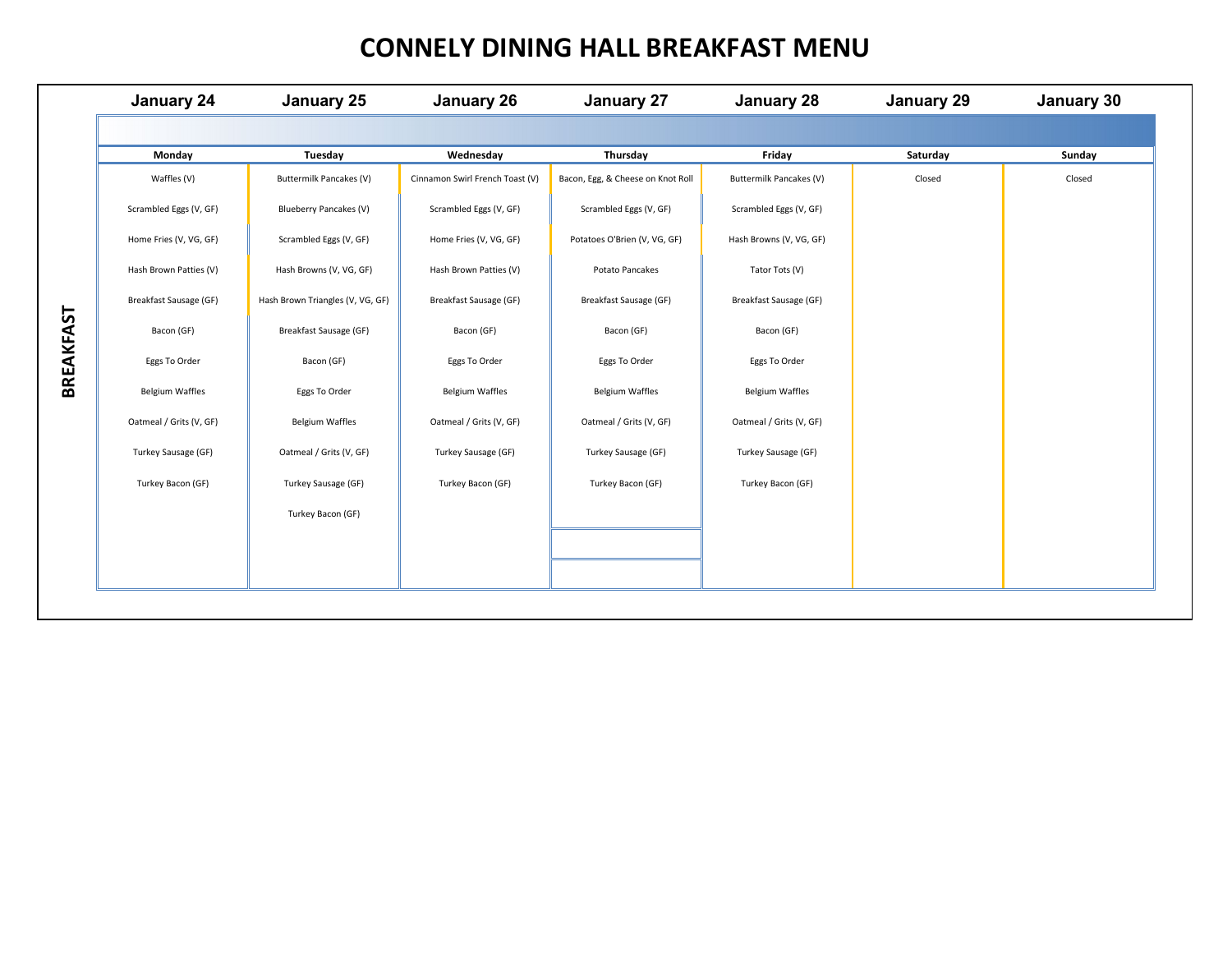### **CONNELY DINING HALL BREAKFAST MENU**

|                  | January 24              | January 25                       | January 26                      | <b>January 27</b>                 | January 28              | January 29 | January 30 |
|------------------|-------------------------|----------------------------------|---------------------------------|-----------------------------------|-------------------------|------------|------------|
|                  |                         |                                  |                                 |                                   |                         |            |            |
|                  | Monday                  | Tuesday                          | Wednesday                       | Thursday                          | Friday                  | Saturday   | Sunday     |
|                  | Waffles (V)             | Buttermilk Pancakes (V)          | Cinnamon Swirl French Toast (V) | Bacon, Egg, & Cheese on Knot Roll | Buttermilk Pancakes (V) | Closed     | Closed     |
|                  | Scrambled Eggs (V, GF)  | Blueberry Pancakes (V)           | Scrambled Eggs (V, GF)          | Scrambled Eggs (V, GF)            | Scrambled Eggs (V, GF)  |            |            |
|                  | Home Fries (V, VG, GF)  | Scrambled Eggs (V, GF)           | Home Fries (V, VG, GF)          | Potatoes O'Brien (V, VG, GF)      | Hash Browns (V, VG, GF) |            |            |
|                  | Hash Brown Patties (V)  | Hash Browns (V, VG, GF)          | Hash Brown Patties (V)          | Potato Pancakes                   | Tator Tots (V)          |            |            |
|                  | Breakfast Sausage (GF)  | Hash Brown Triangles (V, VG, GF) | Breakfast Sausage (GF)          | Breakfast Sausage (GF)            | Breakfast Sausage (GF)  |            |            |
|                  | Bacon (GF)              | Breakfast Sausage (GF)           | Bacon (GF)                      | Bacon (GF)                        | Bacon (GF)              |            |            |
|                  | Eggs To Order           | Bacon (GF)                       | Eggs To Order                   | Eggs To Order                     | Eggs To Order           |            |            |
| <b>BREAKFAST</b> | <b>Belgium Waffles</b>  | Eggs To Order                    | <b>Belgium Waffles</b>          | <b>Belgium Waffles</b>            | <b>Belgium Waffles</b>  |            |            |
|                  | Oatmeal / Grits (V, GF) | <b>Belgium Waffles</b>           | Oatmeal / Grits (V, GF)         | Oatmeal / Grits (V, GF)           | Oatmeal / Grits (V, GF) |            |            |
|                  | Turkey Sausage (GF)     | Oatmeal / Grits (V, GF)          | Turkey Sausage (GF)             | Turkey Sausage (GF)               | Turkey Sausage (GF)     |            |            |
|                  | Turkey Bacon (GF)       | Turkey Sausage (GF)              | Turkey Bacon (GF)               | Turkey Bacon (GF)                 | Turkey Bacon (GF)       |            |            |
|                  |                         | Turkey Bacon (GF)                |                                 |                                   |                         |            |            |
|                  |                         |                                  |                                 |                                   |                         |            |            |
|                  |                         |                                  |                                 |                                   |                         |            |            |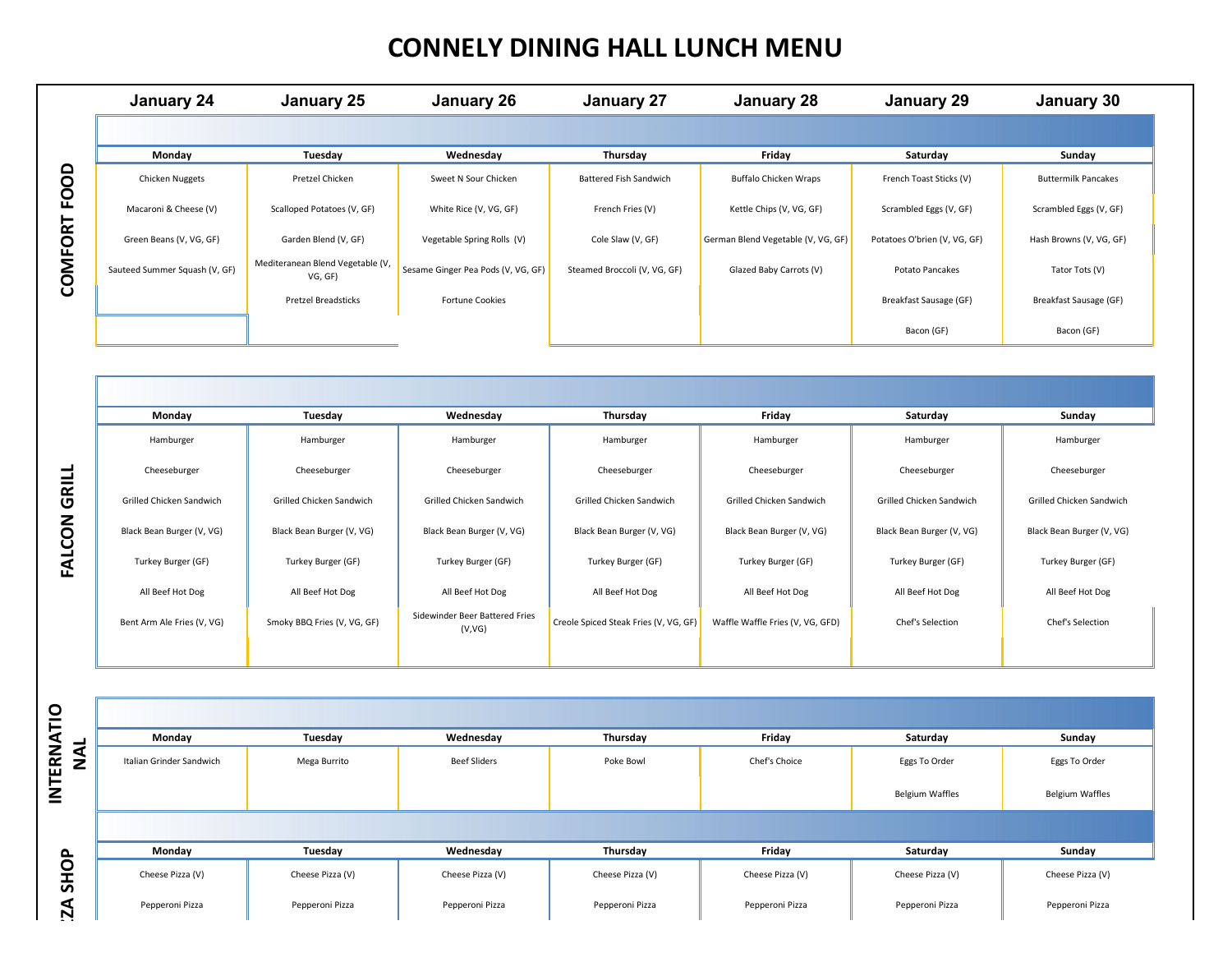# **CONNELY DINING HALL LUNCH MENU**

| January 24                    | January 25                                  | January 26                         | <b>January 27</b>             | January 28                         | January 29                   | January 30                 |
|-------------------------------|---------------------------------------------|------------------------------------|-------------------------------|------------------------------------|------------------------------|----------------------------|
|                               |                                             |                                    |                               |                                    |                              |                            |
| Monday                        | Tuesday                                     | Wednesday                          | Thursday                      | Friday                             | Saturday                     | Sunday                     |
| Chicken Nuggets               | Pretzel Chicken                             | Sweet N Sour Chicken               | <b>Battered Fish Sandwich</b> | <b>Buffalo Chicken Wraps</b>       | French Toast Sticks (V)      | <b>Buttermilk Pancakes</b> |
| Macaroni & Cheese (V)         | Scalloped Potatoes (V, GF)                  | White Rice (V, VG, GF)             | French Fries (V)              | Kettle Chips (V, VG, GF)           | Scrambled Eggs (V, GF)       | Scrambled Eggs (V, GF)     |
| Green Beans (V, VG, GF)       | Garden Blend (V, GF)                        | Vegetable Spring Rolls (V)         | Cole Slaw (V, GF)             | German Blend Vegetable (V, VG, GF) | Potatoes O'brien (V, VG, GF) | Hash Browns (V, VG, GF)    |
| Sauteed Summer Squash (V, GF) | Mediteranean Blend Vegetable (V,<br>VG, GF) | Sesame Ginger Pea Pods (V, VG, GF) | Steamed Broccoli (V, VG, GF)  | Glazed Baby Carrots (V)            | Potato Pancakes              | Tator Tots (V)             |
|                               | <b>Pretzel Breadsticks</b>                  | <b>Fortune Cookies</b>             |                               |                                    | Breakfast Sausage (GF)       | Breakfast Sausage (GF)     |
|                               |                                             |                                    |                               |                                    | Bacon (GF)                   | Bacon (GF)                 |
|                               |                                             |                                    |                               |                                    |                              |                            |
|                               |                                             |                                    |                               |                                    |                              |                            |
| Monday                        | Tuesday                                     | Wednesday                          | Thursday                      | Friday                             | Saturday                     | Sunday                     |
| Hamburger                     | Hamburger                                   | Hamburger                          | Hamburger                     | Hamburger                          | Hamburger                    | Hamburger                  |
| Cheeseburger                  | Cheeseburger                                | Cheeseburger                       | Cheeseburger                  | Cheeseburger                       | Cheeseburger                 | Cheeseburger               |
| Grilled Chicken Sandwich      | Grilled Chicken Sandwich                    | Grilled Chicken Sandwich           | Grilled Chicken Sandwich      | Grilled Chicken Sandwich           | Grilled Chicken Sandwich     | Grilled Chicken Sandwich   |
| Black Bean Burger (V, VG)     | Black Bean Burger (V, VG)                   | Black Bean Burger (V, VG)          | Black Bean Burger (V, VG)     | Black Bean Burger (V, VG)          | Black Bean Burger (V, VG)    | Black Bean Burger (V, VG)  |
| Turkey Burger (GF)            | Turkey Burger (GF)                          | Turkey Burger (GF)                 | Turkey Burger (GF)            | Turkey Burger (GF)                 | Turkey Burger (GF)           | Turkey Burger (GF)         |

| Monday                     | Tuesday                     | Wednesday                                | Thursday                              | Friday                           | Saturday                  | Sunday                    |
|----------------------------|-----------------------------|------------------------------------------|---------------------------------------|----------------------------------|---------------------------|---------------------------|
| Hamburger                  | Hamburger                   | Hamburger                                | Hamburger                             | Hamburger                        | Hamburger                 | Hamburger                 |
| Cheeseburger               | Cheeseburger                | Cheeseburger                             | Cheeseburger                          | Cheeseburger                     | Cheeseburger              | Cheeseburger              |
| Grilled Chicken Sandwich   | Grilled Chicken Sandwich    | Grilled Chicken Sandwich                 | Grilled Chicken Sandwich              | Grilled Chicken Sandwich         | Grilled Chicken Sandwich  | Grilled Chicken Sandwich  |
| Black Bean Burger (V, VG)  | Black Bean Burger (V, VG)   | Black Bean Burger (V, VG)                | Black Bean Burger (V, VG)             | Black Bean Burger (V, VG)        | Black Bean Burger (V, VG) | Black Bean Burger (V, VG) |
| Turkey Burger (GF)         | Turkey Burger (GF)          | Turkey Burger (GF)                       | Turkey Burger (GF)                    | Turkey Burger (GF)               | Turkey Burger (GF)        | Turkey Burger (GF)        |
| All Beef Hot Dog           | All Beef Hot Dog            | All Beef Hot Dog                         | All Beef Hot Dog                      | All Beef Hot Dog                 | All Beef Hot Dog          | All Beef Hot Dog          |
| Bent Arm Ale Fries (V, VG) | Smoky BBQ Fries (V, VG, GF) | Sidewinder Beer Battered Fries<br>(V,VG) | Creole Spiced Steak Fries (V, VG, GF) | Waffle Waffle Fries (V, VG, GFD) | Chef's Selection          | Chef's Selection          |
|                            |                             |                                          |                                       |                                  |                           |                           |

**FALCON GRILL** 

|                 | Monday                   | Tuesday          | Wednesday           | Thursday         | Friday           | Saturday               | Sunday                 |
|-----------------|--------------------------|------------------|---------------------|------------------|------------------|------------------------|------------------------|
| INTERNATIO<br>z | Italian Grinder Sandwich | Mega Burrito     | <b>Beef Sliders</b> | Poke Bowl        | Chef's Choice    | Eggs To Order          | Eggs To Order          |
|                 |                          |                  |                     |                  |                  | <b>Belgium Waffles</b> | <b>Belgium Waffles</b> |
|                 |                          |                  |                     |                  |                  |                        |                        |
| $\mathbf{r}$    | Monday                   | Tuesday          | Wednesday           | Thursday         | Friday           | Saturday               | Sunday                 |
| O<br>よ          | Cheese Pizza (V)         | Cheese Pizza (V) | Cheese Pizza (V)    | Cheese Pizza (V) | Cheese Pizza (V) | Cheese Pizza (V)       | Cheese Pizza (V)       |
| Ņ               | Pepperoni Pizza          | Pepperoni Pizza  | Pepperoni Pizza     | Pepperoni Pizza  | Pepperoni Pizza  | Pepperoni Pizza        | Pepperoni Pizza        |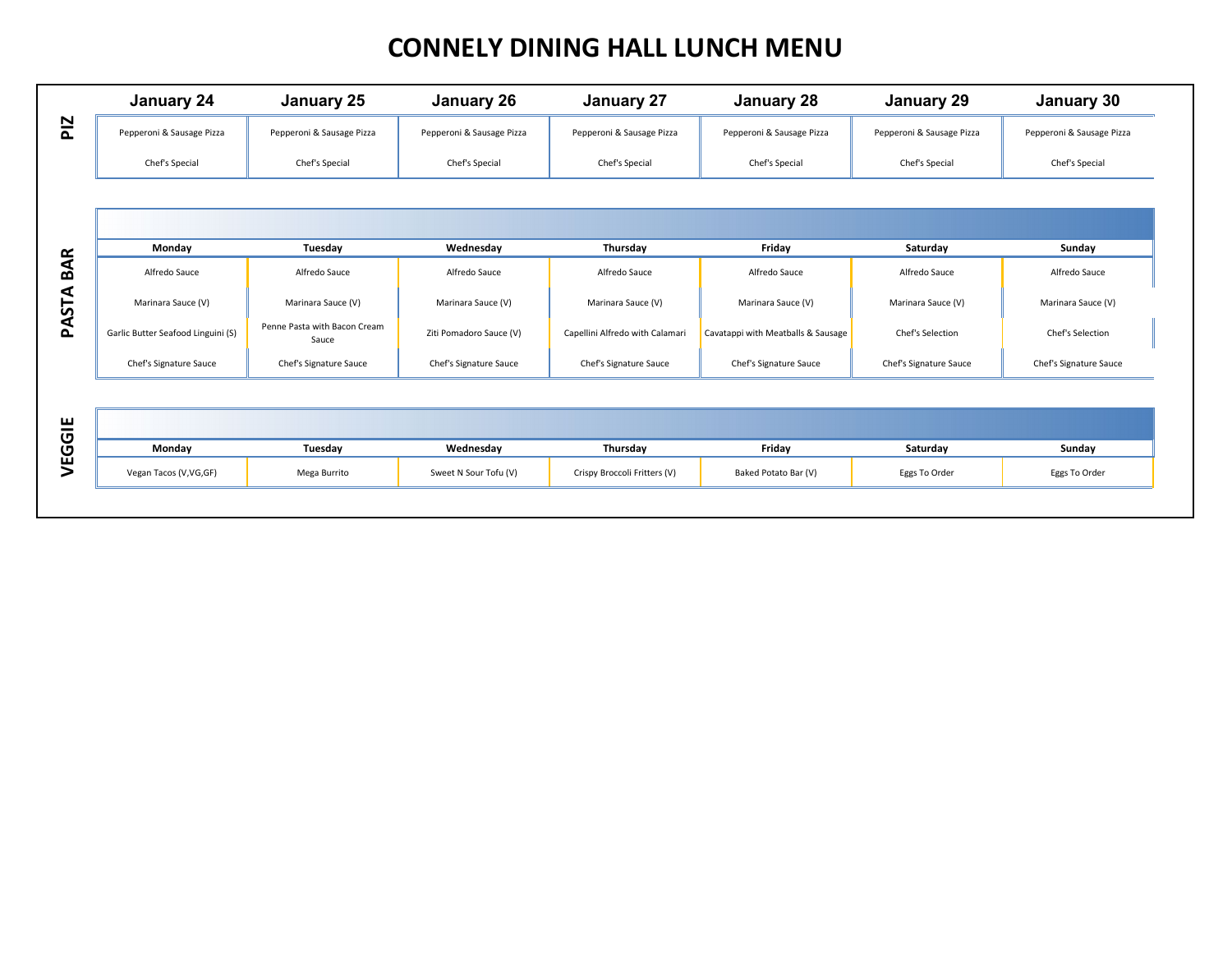## **CONNELY DINING HALL LUNCH MENU**

|            | January 24                         | January 25                            | <b>January 26</b>         | January 27                      | <b>January 28</b>                  | January 29                | January 30                |
|------------|------------------------------------|---------------------------------------|---------------------------|---------------------------------|------------------------------------|---------------------------|---------------------------|
| <b>PIZ</b> | Pepperoni & Sausage Pizza          | Pepperoni & Sausage Pizza             | Pepperoni & Sausage Pizza | Pepperoni & Sausage Pizza       | Pepperoni & Sausage Pizza          | Pepperoni & Sausage Pizza | Pepperoni & Sausage Pizza |
|            | Chef's Special                     | Chef's Special                        | Chef's Special            | Chef's Special                  | Chef's Special                     | Chef's Special            | Chef's Special            |
|            |                                    |                                       |                           |                                 |                                    |                           |                           |
|            |                                    |                                       |                           |                                 |                                    |                           |                           |
| $\propto$  | Monday                             | Tuesday                               | Wednesday                 | Thursday                        | Friday                             | Saturday                  | Sunday                    |
| ⋖<br>ΩÓ    | Alfredo Sauce                      | Alfredo Sauce                         | Alfredo Sauce             | Alfredo Sauce                   | Alfredo Sauce                      | Alfredo Sauce             | Alfredo Sauce             |
| PASTA      | Marinara Sauce (V)                 | Marinara Sauce (V)                    | Marinara Sauce (V)        | Marinara Sauce (V)              | Marinara Sauce (V)                 | Marinara Sauce (V)        | Marinara Sauce (V)        |
|            | Garlic Butter Seafood Linguini (S) | Penne Pasta with Bacon Cream<br>Sauce | Ziti Pomadoro Sauce (V)   | Capellini Alfredo with Calamari | Cavatappi with Meatballs & Sausage | Chef's Selection          | Chef's Selection          |
|            | Chef's Signature Sauce             | Chef's Signature Sauce                | Chef's Signature Sauce    | Chef's Signature Sauce          | Chef's Signature Sauce             | Chef's Signature Sauce    | Chef's Signature Sauce    |
|            |                                    |                                       |                           |                                 |                                    |                           |                           |
| VEGGIE     |                                    |                                       |                           |                                 |                                    |                           |                           |
|            | Monday                             | Tuesday                               | Wednesday                 | Thursday                        | Friday                             | Saturday                  | Sunday                    |
|            | Vegan Tacos (V, VG, GF)            | Mega Burrito                          | Sweet N Sour Tofu (V)     | Crispy Broccoli Fritters (V)    | Baked Potato Bar (V)               | Eggs To Order             | Eggs To Order             |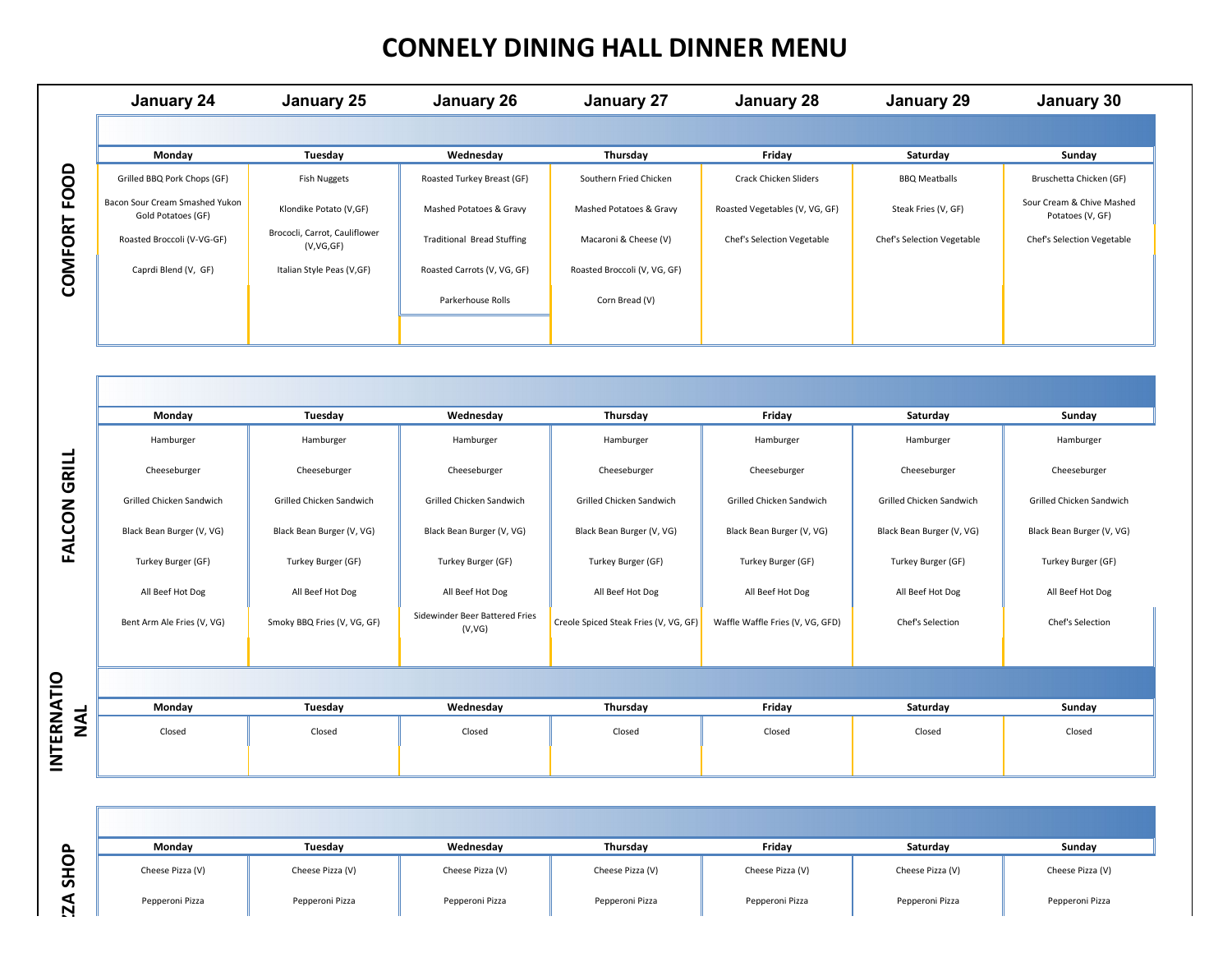# **CONNELY DINING HALL DINNER MENU**

| January 24                                           | January 25                                 | January 26                        | January 27                   | January 28                     | January 29                        | January 30                                    |
|------------------------------------------------------|--------------------------------------------|-----------------------------------|------------------------------|--------------------------------|-----------------------------------|-----------------------------------------------|
|                                                      |                                            |                                   |                              |                                |                                   |                                               |
| Monday                                               | Tuesday                                    | Wednesday                         | Thursday                     | Friday                         | Saturday                          | Sunday                                        |
| Grilled BBQ Pork Chops (GF)                          | Fish Nuggets                               | Roasted Turkey Breast (GF)        | Southern Fried Chicken       | Crack Chicken Sliders          | <b>BBQ Meatballs</b>              | Bruschetta Chicken (GF)                       |
| Bacon Sour Cream Smashed Yukon<br>Gold Potatoes (GF) | Klondike Potato (V,GF)                     | Mashed Potatoes & Gravy           | Mashed Potatoes & Gravy      | Roasted Vegetables (V, VG, GF) | Steak Fries (V, GF)               | Sour Cream & Chive Mashed<br>Potatoes (V, GF) |
| Roasted Broccoli (V-VG-GF)                           | Brococli, Carrot, Cauliflower<br>(V,VG,GF) | <b>Traditional Bread Stuffing</b> | Macaroni & Cheese (V)        | Chef's Selection Vegetable     | <b>Chef's Selection Vegetable</b> | Chef's Selection Vegetable                    |
| Caprdi Blend (V, GF)                                 | Italian Style Peas (V,GF)                  | Roasted Carrots (V, VG, GF)       | Roasted Broccoli (V, VG, GF) |                                |                                   |                                               |
|                                                      |                                            | Parkerhouse Rolls                 | Corn Bread (V)               |                                |                                   |                                               |
|                                                      |                                            |                                   |                              |                                |                                   |                                               |

|                     | Grilled BBQ Pork Chops (GF)                          | <b>Fish Nuggets</b>                        | Roasted Turkey Breast (GF)               | Southern Fried Chicken                | Crack Chicken Sliders            | <b>BBQ Meatballs</b>       | Bruschetta Chicken (GF)                       |
|---------------------|------------------------------------------------------|--------------------------------------------|------------------------------------------|---------------------------------------|----------------------------------|----------------------------|-----------------------------------------------|
| <b>COMFORT FOOD</b> | Bacon Sour Cream Smashed Yukon<br>Gold Potatoes (GF) | Klondike Potato (V,GF)                     | Mashed Potatoes & Gravy                  | Mashed Potatoes & Gravy               | Roasted Vegetables (V, VG, GF)   | Steak Fries (V, GF)        | Sour Cream & Chive Mashed<br>Potatoes (V, GF) |
|                     | Roasted Broccoli (V-VG-GF)                           | Brococli, Carrot, Cauliflower<br>(V,VG,GF) | <b>Traditional Bread Stuffing</b>        | Macaroni & Cheese (V)                 | Chef's Selection Vegetable       | Chef's Selection Vegetable | Chef's Selection Vegetable                    |
|                     | Caprdi Blend (V, GF)                                 | Italian Style Peas (V,GF)                  | Roasted Carrots (V, VG, GF)              | Roasted Broccoli (V, VG, GF)          |                                  |                            |                                               |
|                     |                                                      |                                            | Parkerhouse Rolls                        | Corn Bread (V)                        |                                  |                            |                                               |
|                     |                                                      |                                            |                                          |                                       |                                  |                            |                                               |
|                     |                                                      |                                            |                                          |                                       |                                  |                            |                                               |
|                     |                                                      |                                            |                                          |                                       |                                  |                            |                                               |
|                     | Monday                                               | Tuesday                                    | Wednesday                                | Thursday                              | Friday                           | Saturday                   | Sunday                                        |
|                     | Hamburger                                            | Hamburger                                  | Hamburger                                | Hamburger                             | Hamburger                        | Hamburger                  | Hamburger                                     |
| <b>FALCON GRILL</b> | Cheeseburger                                         | Cheeseburger                               | Cheeseburger                             | Cheeseburger                          | Cheeseburger                     | Cheeseburger               | Cheeseburger                                  |
|                     | Grilled Chicken Sandwich                             | Grilled Chicken Sandwich                   | Grilled Chicken Sandwich                 | Grilled Chicken Sandwich              | Grilled Chicken Sandwich         | Grilled Chicken Sandwich   | Grilled Chicken Sandwich                      |
|                     | Black Bean Burger (V, VG)                            | Black Bean Burger (V, VG)                  | Black Bean Burger (V, VG)                | Black Bean Burger (V, VG)             | Black Bean Burger (V, VG)        | Black Bean Burger (V, VG)  | Black Bean Burger (V, VG)                     |
|                     | Turkey Burger (GF)                                   | Turkey Burger (GF)                         | Turkey Burger (GF)                       | Turkey Burger (GF)                    | Turkey Burger (GF)               | Turkey Burger (GF)         | Turkey Burger (GF)                            |
|                     | All Beef Hot Dog                                     | All Beef Hot Dog                           | All Beef Hot Dog                         | All Beef Hot Dog                      | All Beef Hot Dog                 | All Beef Hot Dog           | All Beef Hot Dog                              |
|                     | Bent Arm Ale Fries (V, VG)                           | Smoky BBQ Fries (V, VG, GF)                | Sidewinder Beer Battered Fries<br>(V,VG) | Creole Spiced Steak Fries (V, VG, GF) | Waffle Waffle Fries (V, VG, GFD) | Chef's Selection           | Chef's Selection                              |
|                     |                                                      |                                            |                                          |                                       |                                  |                            |                                               |
|                     |                                                      |                                            |                                          |                                       |                                  |                            |                                               |
|                     |                                                      |                                            |                                          |                                       |                                  |                            |                                               |
|                     | Monday                                               | Tuesday                                    | Wednesday                                | Thursday                              | Friday                           | Saturday                   | Sunday                                        |
| NAL                 | Closed                                               | Closed                                     | Closed                                   | Closed                                | Closed                           | Closed                     | Closed                                        |
| <b>INTERNATIO</b>   |                                                      |                                            |                                          |                                       |                                  |                            |                                               |
|                     |                                                      |                                            |                                          |                                       |                                  |                            |                                               |
|                     | Monday                                               | Tuesday                                    | Wednesday                                | Thursday                              | Friday                           | Saturday                   | Sunday                                        |
| <b>SHOP</b>         | Cheese Pizza (V)                                     | Cheese Pizza (V)                           | Cheese Pizza (V)                         | Cheese Pizza (V)                      | Cheese Pizza (V)                 | Cheese Pizza (V)           | Cheese Pizza (V)                              |

| Mondav           | Tuesday          | Wednesdav        | <b>Thursdav</b>  | Friday           | Saturdav         | Sunday           |
|------------------|------------------|------------------|------------------|------------------|------------------|------------------|
| Cheese Pizza (V) | Cheese Pizza (V) | Cheese Pizza (V) | Cheese Pizza (V) | Cheese Pizza (V) | Cheese Pizza (V) | Cheese Pizza (V) |
| Pepperoni Pizza  | Pepperoni Pizza  | Pepperoni Pizza  | Pepperoni Pizza  | Pepperoni Pizza  | Pepperoni Pizza  | Pepperoni Pizza  |

INTERNATIO